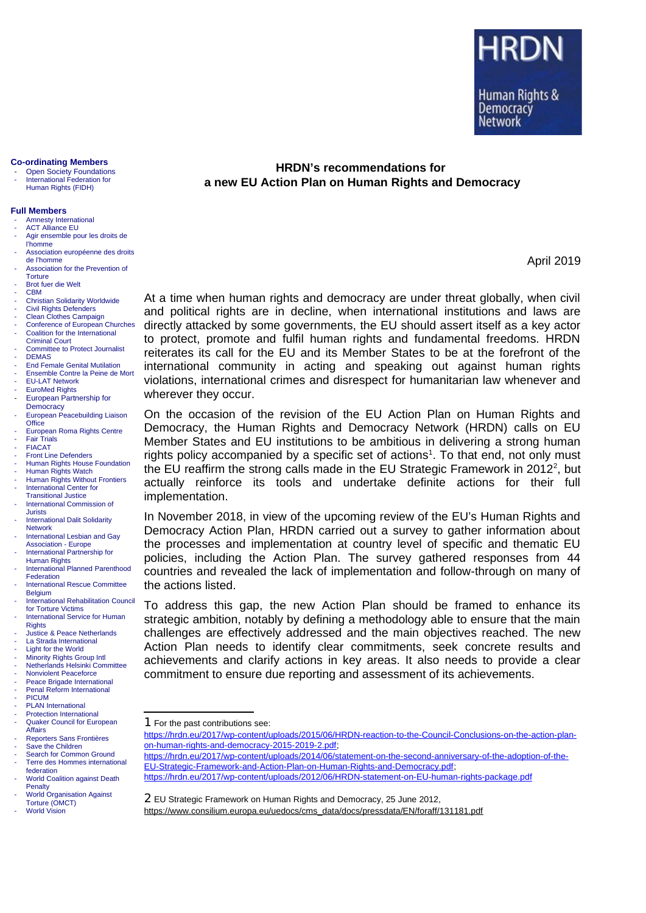#### **Co-ordinating Members**

- Open Society Foundations - International Federation for Human Rights (FIDH)

#### **Full Members**

- Amnesty International
- ACT Alliance EU
- Agir ensemble pour les droits de l'homme
- Association européenne des droits de l'homme
- Association for the Prevention of
- **Torture** Brot fuer die Welt
- CBM
- Christian Solidarity Worldwide
- Civil Rights Defenders
- Clean Clothes Campaign
- Conference of European Churches Coalition for the International
- [Criminal Court](http://www.iccnow.org/)
- Committee to Protect Journalist - DEMAS
- End Female Genital Mutilation
- Ensemble Contre la Peine de Mort
- EU-LAT Network
- EuroMed Rights
- European Partnership for
- **Democracy** - [European Peacebuilding Liaison](http://www.eplo.org/)
- **[Office](http://www.eplo.org/)**
- European Roma Rights Centre **Fair Trials**
- FIACAT
- Front Line Defenders
- Human Rights House Foundation
- Human Rights Watch
- **Human Rights Without Frontiers** - [International Center for](http://www.ictj.org/en/index.html)
- [Transitional Justice](http://www.ictj.org/en/index.html)
- International Commission of
- **Jurists** International Dalit Solidarity
- [Network](http://www.idsn.org/)  International Lesbian and Gay
- [Association Europe](http://www.ilga-europe.org/)
- International Partnership for Human Rights
- International Planned Parenthood
- Federation International Rescue Committee
- [Belgium](http://www.theirc.org/)  - [International Rehabilitation Council](http://www.irct.org/)
- [for Torture Victims](http://www.irct.org/)  International Service for Human
- **Rights**
- Justice & Peace Netherlands
- La Strada International
- Light for the World Minority Rights Group Intl
- Netherlands Helsinki Committee
- Nonviolent Peaceforce
- Peace Brigade International
- [Penal Reform International](http://www.penalreform.org/)  PICUM
- PLAN International
- **[Protection](http://www.peacebrigades.org/beo.html) International** - Quaker Council for European
- **Affairs**
- Reporters Sans Frontières
- Save the Children
- Search for Common Ground
- Terre des Hommes international federation
- World Coalition against Death **Penalty**
- [World Organisation Against](http://www.omct.org/)
- [Torture](http://www.omct.org/) (OMCT)
- **[World Vision](http://www.wvi.org/)**

# **HRDN's recommendations for a new EU Action Plan on Human Rights and Democracy**

April 2019

At a time when human rights and democracy are under threat globally, when civil and political rights are in decline, when international institutions and laws are directly attacked by some governments, the EU should assert itself as a key actor to protect, promote and fulfil human rights and fundamental freedoms. HRDN reiterates its call for the EU and its Member States to be at the forefront of the international community in acting and speaking out against human rights violations, international crimes and disrespect for humanitarian law whenever and wherever they occur.

On the occasion of the revision of the EU Action Plan on Human Rights and Democracy, the Human Rights and Democracy Network (HRDN) calls on EU Member States and EU institutions to be ambitious in delivering a strong human rights policy accompanied by a specific set of actions $<sup>1</sup>$  $<sup>1</sup>$  $<sup>1</sup>$ . To that end, not only must</sup> the EU reaffirm the strong calls made in the EU Strategic Framework in [2](#page-0-1)012<sup>2</sup>, but actually reinforce its tools and undertake definite actions for their full implementation.

In November 2018, in view of the upcoming review of the EU's Human Rights and Democracy Action Plan, HRDN carried out a survey to gather information about the processes and implementation at country level of specific and thematic EU policies, including the Action Plan. The survey gathered responses from 44 countries and revealed the lack of implementation and follow-through on many of the actions listed.

To address this gap, the new Action Plan should be framed to enhance its strategic ambition, notably by defining a methodology able to ensure that the main challenges are effectively addressed and the main objectives reached. The new Action Plan needs to identify clear commitments, seek concrete results and achievements and clarify actions in key areas. It also needs to provide a clear commitment to ensure due reporting and assessment of its achievements.

- [https://hrdn.eu/2017/wp-content/uploads/2015/06/HRDN-reaction-to-the-Council-Conclusions-on-the-action-plan](https://hrdn.eu/2017/wp-content/uploads/2015/06/HRDN-reaction-to-the-Council-Conclusions-on-the-action-plan-on-human-rights-and-democracy-2015-2019-2.pdf)[on-human-rights-and-democracy-2015-2019-2.pdf;](https://hrdn.eu/2017/wp-content/uploads/2015/06/HRDN-reaction-to-the-Council-Conclusions-on-the-action-plan-on-human-rights-and-democracy-2015-2019-2.pdf)
- [https://hrdn.eu/2017/wp-content/uploads/2014/06/statement-on-the-second-anniversary-of-the-adoption-of-the-](https://hrdn.eu/2017/wp-content/uploads/2014/06/statement-on-the-second-anniversary-of-the-adoption-of-the-EU-Strategic-Framework-and-Action-Plan-on-Human-Rights-and-Democracy.pdf)[EU-Strategic-Framework-and-Action-Plan-on-Human-Rights-and-Democracy.pdf;](https://hrdn.eu/2017/wp-content/uploads/2014/06/statement-on-the-second-anniversary-of-the-adoption-of-the-EU-Strategic-Framework-and-Action-Plan-on-Human-Rights-and-Democracy.pdf) <https://hrdn.eu/2017/wp-content/uploads/2012/06/HRDN-statement-on-EU-human-rights-package.pdf>

<span id="page-0-1"></span>2 EU Strategic Framework on Human Rights and Democracy, 25 June 2012, [https://www.consilium.europa.eu/uedocs/cms\\_data/docs/pressdata/EN/foraff/131181.pdf](https://www.consilium.europa.eu/uedocs/cms_data/docs/pressdata/EN/foraff/131181.pdf)

<span id="page-0-0"></span><sup>1</sup> For the past contributions see: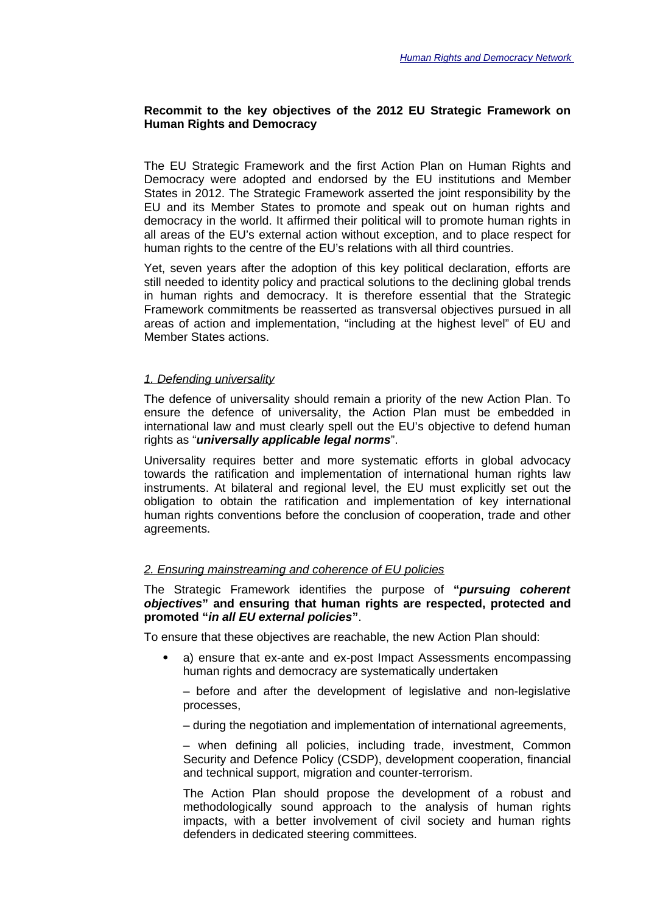## **Recommit to the key objectives of the 2012 EU Strategic Framework on Human Rights and Democracy**

The EU Strategic Framework and the first Action Plan on Human Rights and Democracy were adopted and endorsed by the EU institutions and Member States in 2012. The Strategic Framework asserted the joint responsibility by the EU and its Member States to promote and speak out on human rights and democracy in the world. It affirmed their political will to promote human rights in all areas of the EU's external action without exception, and to place respect for human rights to the centre of the EU's relations with all third countries.

Yet, seven years after the adoption of this key political declaration, efforts are still needed to identity policy and practical solutions to the declining global trends in human rights and democracy. It is therefore essential that the Strategic Framework commitments be reasserted as transversal objectives pursued in all areas of action and implementation, "including at the highest level" of EU and Member States actions.

#### *1. Defending universality*

The defence of universality should remain a priority of the new Action Plan. To ensure the defence of universality, the Action Plan must be embedded in international law and must clearly spell out the EU's objective to defend human rights as "*universally applicable legal norms*".

Universality requires better and more systematic efforts in global advocacy towards the ratification and implementation of international human rights law instruments. At bilateral and regional level, the EU must explicitly set out the obligation to obtain the ratification and implementation of key international human rights conventions before the conclusion of cooperation, trade and other agreements.

## *2. Ensuring mainstreaming and coherence of EU policies*

The Strategic Framework identifies the purpose of **"***pursuing coherent objectives***" and ensuring that human rights are respected, protected and promoted "***in all EU external policies***"**.

To ensure that these objectives are reachable, the new Action Plan should:

 a) ensure that ex-ante and ex-post Impact Assessments encompassing human rights and democracy are systematically undertaken

– before and after the development of legislative and non-legislative processes,

– during the negotiation and implementation of international agreements,

– when defining all policies, including trade, investment, Common Security and Defence Policy (CSDP), development cooperation, financial and technical support, migration and counter-terrorism.

The Action Plan should propose the development of a robust and methodologically sound approach to the analysis of human rights impacts, with a better involvement of civil society and human rights defenders in dedicated steering committees.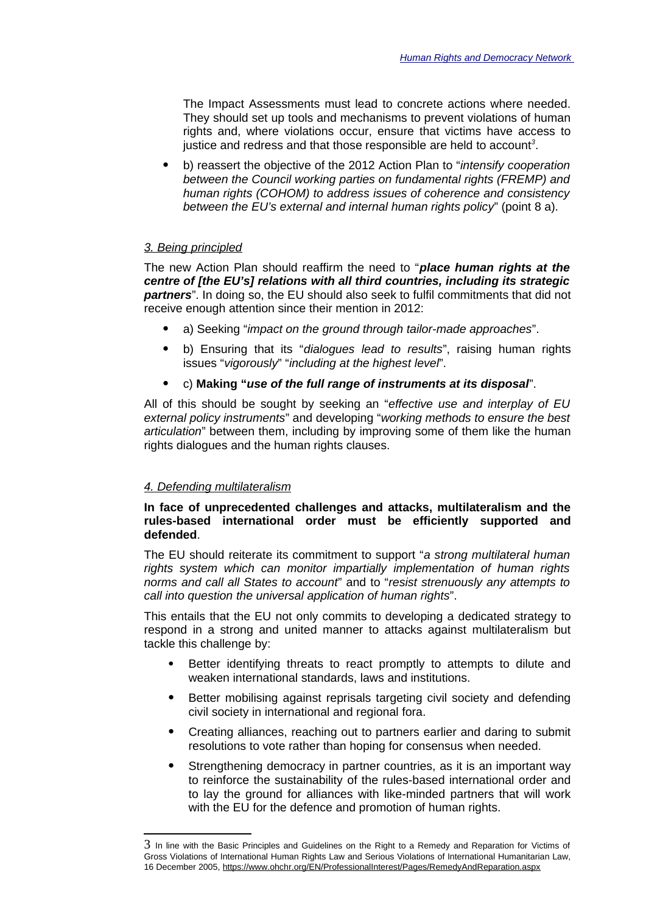The Impact Assessments must lead to concrete actions where needed. They should set up tools and mechanisms to prevent violations of human rights and, where violations occur, ensure that victims have access to justice and redress and that those responsible are held to account*[3](#page-2-0)* .

 b) reassert the objective of the 2012 Action Plan to "*intensify cooperation between the Council working parties on fundamental rights (FREMP) and human rights (COHOM) to address issues of coherence and consistency between the EU's external and internal human rights policy*" (point 8 a).

## *3. Being principled*

The new Action Plan should reaffirm the need to "*place human rights at the centre of [the EU's] relations with all third countries, including its strategic partners*". In doing so, the EU should also seek to fulfil commitments that did not receive enough attention since their mention in 2012:

- a) Seeking "*impact on the ground through tailor-made approaches*".
- b) Ensuring that its "*dialogues lead to results*", raising human rights issues "*vigorously*" "*including at the highest level*".
- c) **Making "***use of the full range of instruments at its disposal*".

All of this should be sought by seeking an "*effective use and interplay of EU external policy instruments*" and developing "*working methods to ensure the best articulation*" between them, including by improving some of them like the human rights dialogues and the human rights clauses.

## *4. Defending multilateralism*

## **In face of unprecedented challenges and attacks, multilateralism and the rules-based international order must be efficiently supported and defended**.

The EU should reiterate its commitment to support "*a strong multilateral human rights system which can monitor impartially implementation of human rights norms and call all States to account*" and to "*resist strenuously any attempts to call into question the universal application of human rights*".

This entails that the EU not only commits to developing a dedicated strategy to respond in a strong and united manner to attacks against multilateralism but tackle this challenge by:

- Better identifying threats to react promptly to attempts to dilute and weaken international standards, laws and institutions.
- Better mobilising against reprisals targeting civil society and defending civil society in international and regional fora.
- Creating alliances, reaching out to partners earlier and daring to submit resolutions to vote rather than hoping for consensus when needed.
- Strengthening democracy in partner countries, as it is an important way to reinforce the sustainability of the rules-based international order and to lay the ground for alliances with like-minded partners that will work with the EU for the defence and promotion of human rights.

<span id="page-2-0"></span><sup>3</sup> In line with the Basic Principles and Guidelines on the Right to a Remedy and Reparation for Victims of Gross Violations of International Human Rights Law and Serious Violations of International Humanitarian Law, 16 December 2005,<https://www.ohchr.org/EN/ProfessionalInterest/Pages/RemedyAndReparation.aspx>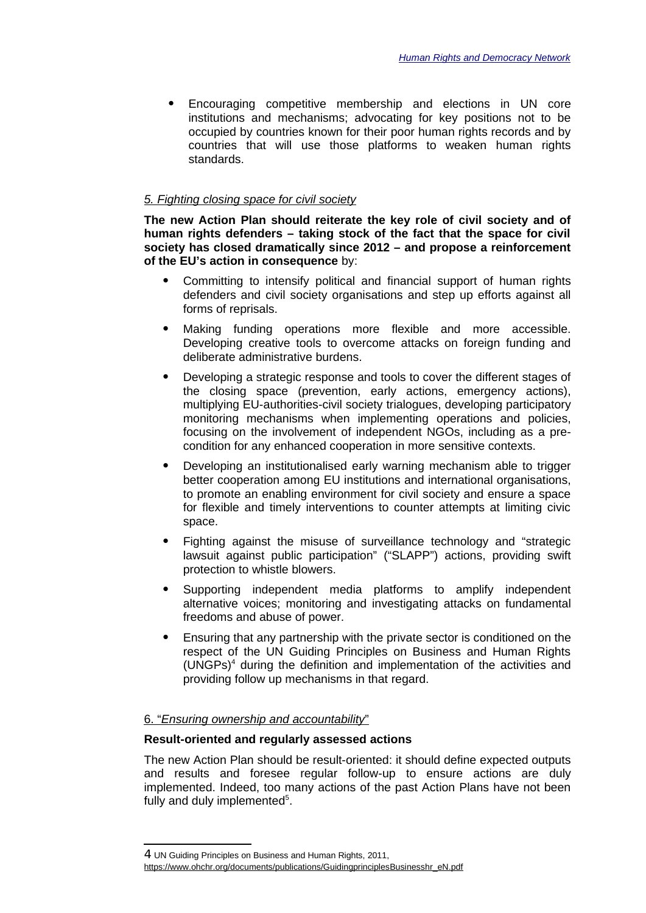Encouraging competitive membership and elections in UN core institutions and mechanisms; advocating for key positions not to be occupied by countries known for their poor human rights records and by countries that will use those platforms to weaken human rights standards.

#### *5. Fighting closing space for civil society*

**The new Action Plan should reiterate the key role of civil society and of human rights defenders – taking stock of the fact that the space for civil society has closed dramatically since 2012 – and propose a reinforcement of the EU's action in consequence** by:

- Committing to intensify political and financial support of human rights defenders and civil society organisations and step up efforts against all forms of reprisals.
- Making funding operations more flexible and more accessible. Developing creative tools to overcome attacks on foreign funding and deliberate administrative burdens.
- Developing a strategic response and tools to cover the different stages of the closing space (prevention, early actions, emergency actions), multiplying EU-authorities-civil society trialogues, developing participatory monitoring mechanisms when implementing operations and policies, focusing on the involvement of independent NGOs, including as a precondition for any enhanced cooperation in more sensitive contexts.
- Developing an institutionalised early warning mechanism able to trigger better cooperation among EU institutions and international organisations, to promote an enabling environment for civil society and ensure a space for flexible and timely interventions to counter attempts at limiting civic space.
- Fighting against the misuse of surveillance technology and "strategic lawsuit against public participation" ("SLAPP") actions, providing swift protection to whistle blowers.
- Supporting independent media platforms to amplify independent alternative voices; monitoring and investigating attacks on fundamental freedoms and abuse of power.
- Ensuring that any partnership with the private sector is conditioned on the respect of the UN Guiding Principles on Business and Human Rights (UNGPs)[4](#page-3-0) during the definition and implementation of the activities and providing follow up mechanisms in that regard.

# 6. " *Ensuring ownership and accountability* "

#### **Result-oriented and regularly assessed actions**

The new Action Plan should be result-oriented: it should define expected outputs and results and foresee regular follow-up to ensure actions are duly implemented. Indeed, too many actions of the past Action Plans have not been fully and duly implemented<sup>5</sup>.

<span id="page-3-0"></span><sup>4</sup> UN Guiding Principles on Business and Human Rights, 2011,

https://www.ohchr.org/documents/publications/GuidingprinciplesBusinesshr\_eN.pdf